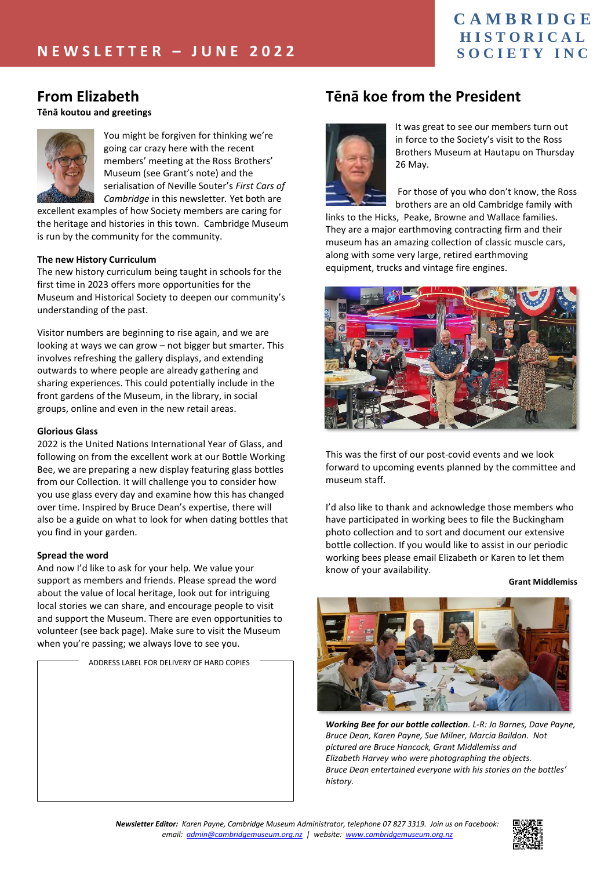#### **C A M B R I D G E H I S T O R I C A L S O C I E T Y I N C**

## **From Elizabeth**

#### **Tēnā koutou and greetings**



You might be forgiven for thinking we're going car crazy here with the recent members' meeting at the Ross Brothers' Museum (see Grant's note) and the serialisation of Neville Souter's *First Cars of Cambridge* in this newsletter*.* Yet both are

excellent examples of how Society members are caring for the heritage and histories in this town. Cambridge Museum is run by the community for the community.

#### **The new History Curriculum**

The new history curriculum being taught in schools for the first time in 2023 offers more opportunities for the Museum and Historical Society to deepen our community's understanding of the past.

Visitor numbers are beginning to rise again, and we are looking at ways we can grow – not bigger but smarter. This involves refreshing the gallery displays, and extending outwards to where people are already gathering and sharing experiences. This could potentially include in the front gardens of the Museum, in the library, in social groups, online and even in the new retail areas.

#### **Glorious Glass**

2022 is the United Nations International Year of Glass, and following on from the excellent work at our Bottle Working Bee, we are preparing a new display featuring glass bottles from our Collection. It will challenge you to consider how you use glass every day and examine how this has changed over time. Inspired by Bruce Dean's expertise, there will also be a guide on what to look for when dating bottles that you find in your garden.

#### **Spread the word**

And now I'd like to ask for your help. We value your support as members and friends. Please spread the word about the value of local heritage, look out for intriguing local stories we can share, and encourage people to visit and support the Museum. There are even opportunities to volunteer (see back page). Make sure to visit the Museum when you're passing; we always love to see you.

ADDRESS LABEL FOR DELIVERY OF HARD COPIES

## **Tēnā koe from the President**



It was great to see our members turn out in force to the Society's visit to the Ross Brothers Museum at Hautapu on Thursday 26 May.

For those of you who don't know, the Ross brothers are an old Cambridge family with

links to the Hicks, Peake, Browne and Wallace families. They are a major earthmoving contracting firm and their museum has an amazing collection of classic muscle cars, along with some very large, retired earthmoving equipment, trucks and vintage fire engines.



This was the first of our post-covid events and we look forward to upcoming events planned by the committee and museum staff.

I'd also like to thank and acknowledge those members who have participated in working bees to file the Buckingham photo collection and to sort and document our extensive bottle collection. If you would like to assist in our periodic working bees please email Elizabeth or Karen to let them know of your availability.

**Grant Middlemiss**



*Working Bee for our bottle collection. L-R: Jo Barnes, Dave Payne, Bruce Dean, Karen Payne, Sue Milner, Marcia Baildon. Not pictured are Bruce Hancock, Grant Middlemiss and Elizabeth Harvey who were photographing the objects. Bruce Dean entertained everyone with his stories on the bottles' history.*

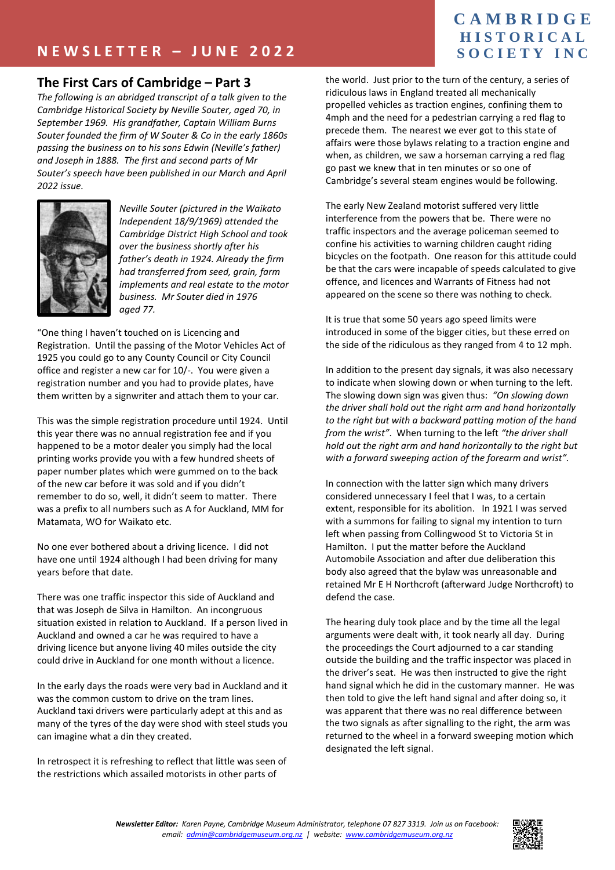#### **The First Cars of Cambridge – Part 3**

*The following is an abridged transcript of a talk given to the Cambridge Historical Society by Neville Souter, aged 70, in September 1969. His grandfather, Captain William Burns Souter founded the firm of W Souter & Co in the early 1860s passing the business on to his sons Edwin (Neville's father) and Joseph in 1888. The first and second parts of Mr Souter's speech have been published in our March and April 2022 issue.*



*Neville Souter (pictured in the Waikato Independent 18/9/1969) attended the Cambridge District High School and took over the business shortly after his father's death in 1924. Already the firm had transferred from seed, grain, farm implements and real estate to the motor business. Mr Souter died in 1976 aged 77.*

"One thing I haven't touched on is Licencing and Registration. Until the passing of the Motor Vehicles Act of 1925 you could go to any County Council or City Council office and register a new car for 10/-. You were given a registration number and you had to provide plates, have them written by a signwriter and attach them to your car.

This was the simple registration procedure until 1924. Until this year there was no annual registration fee and if you happened to be a motor dealer you simply had the local printing works provide you with a few hundred sheets of paper number plates which were gummed on to the back of the new car before it was sold and if you didn't remember to do so, well, it didn't seem to matter. There was a prefix to all numbers such as A for Auckland, MM for Matamata, WO for Waikato etc.

No one ever bothered about a driving licence. I did not have one until 1924 although I had been driving for many years before that date.

There was one traffic inspector this side of Auckland and that was Joseph de Silva in Hamilton. An incongruous situation existed in relation to Auckland. If a person lived in Auckland and owned a car he was required to have a driving licence but anyone living 40 miles outside the city could drive in Auckland for one month without a licence.

In the early days the roads were very bad in Auckland and it was the common custom to drive on the tram lines. Auckland taxi drivers were particularly adept at this and as many of the tyres of the day were shod with steel studs you can imagine what a din they created.

In retrospect it is refreshing to reflect that little was seen of the restrictions which assailed motorists in other parts of

## **C A M B R I D G E H I S T O R I C A L S O C I E T Y I N C**

the world. Just prior to the turn of the century, a series of ridiculous laws in England treated all mechanically propelled vehicles as traction engines, confining them to 4mph and the need for a pedestrian carrying a red flag to precede them. The nearest we ever got to this state of affairs were those bylaws relating to a traction engine and when, as children, we saw a horseman carrying a red flag go past we knew that in ten minutes or so one of Cambridge's several steam engines would be following.

The early New Zealand motorist suffered very little interference from the powers that be. There were no traffic inspectors and the average policeman seemed to confine his activities to warning children caught riding bicycles on the footpath. One reason for this attitude could be that the cars were incapable of speeds calculated to give offence, and licences and Warrants of Fitness had not appeared on the scene so there was nothing to check.

It is true that some 50 years ago speed limits were introduced in some of the bigger cities, but these erred on the side of the ridiculous as they ranged from 4 to 12 mph.

In addition to the present day signals, it was also necessary to indicate when slowing down or when turning to the left. The slowing down sign was given thus: *"On slowing down the driver shall hold out the right arm and hand horizontally to the right but with a backward patting motion of the hand from the wrist"*. When turning to the left *"the driver shall hold out the right arm and hand horizontally to the right but with a forward sweeping action of the forearm and wrist".*

In connection with the latter sign which many drivers considered unnecessary I feel that I was, to a certain extent, responsible for its abolition. In 1921 I was served with a summons for failing to signal my intention to turn left when passing from Collingwood St to Victoria St in Hamilton. I put the matter before the Auckland Automobile Association and after due deliberation this body also agreed that the bylaw was unreasonable and retained Mr E H Northcroft (afterward Judge Northcroft) to defend the case.

The hearing duly took place and by the time all the legal arguments were dealt with, it took nearly all day. During the proceedings the Court adjourned to a car standing outside the building and the traffic inspector was placed in the driver's seat. He was then instructed to give the right hand signal which he did in the customary manner. He was then told to give the left hand signal and after doing so, it was apparent that there was no real difference between the two signals as after signalling to the right, the arm was returned to the wheel in a forward sweeping motion which designated the left signal.

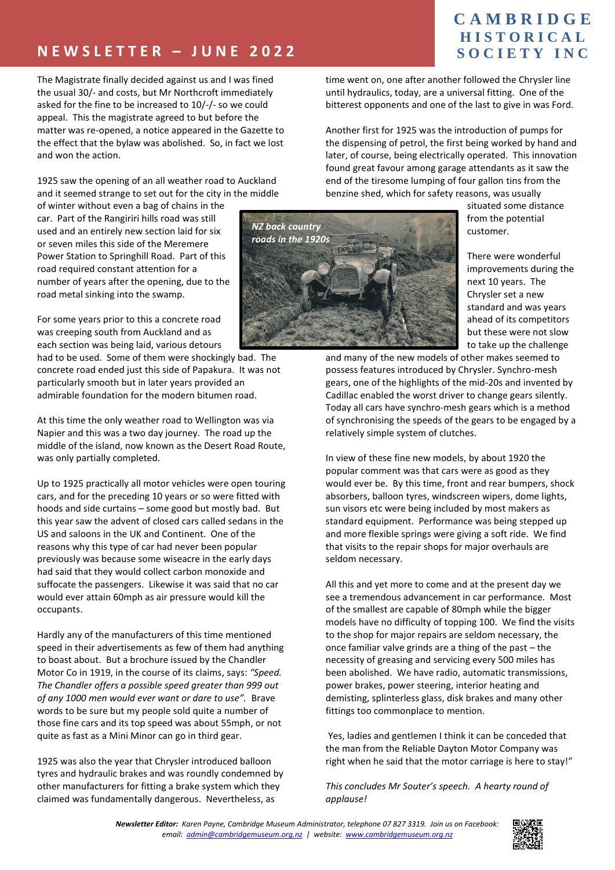# **N E W S L E T T E R – J U N E 2 0 2 2**

The Magistrate finally decided against us and I was fined the usual 30/- and costs, but Mr Northcroft immediately asked for the fine to be increased to 10/-/- so we could appeal. This the magistrate agreed to but before the matter was re-opened, a notice appeared in the Gazette to the effect that the bylaw was abolished. So, in fact we lost and won the action.

1925 saw the opening of an all weather road to Auckland and it seemed strange to set out for the city in the middle

of winter without even a bag of chains in the car. Part of the Rangiriri hills road was still used and an entirely new section laid for six or seven miles this side of the Meremere Power Station to Springhill Road. Part of this road required constant attention for a number of years after the opening, due to the road metal sinking into the swamp.

For some years prior to this a concrete road was creeping south from Auckland and as each section was being laid, various detours

had to be used. Some of them were shockingly bad. The concrete road ended just this side of Papakura. It was not particularly smooth but in later years provided an admirable foundation for the modern bitumen road.

At this time the only weather road to Wellington was via Napier and this was a two day journey. The road up the middle of the island, now known as the Desert Road Route, was only partially completed.

Up to 1925 practically all motor vehicles were open touring cars, and for the preceding 10 years or so were fitted with hoods and side curtains – some good but mostly bad. But this year saw the advent of closed cars called sedans in the US and saloons in the UK and Continent. One of the reasons why this type of car had never been popular previously was because some wiseacre in the early days had said that they would collect carbon monoxide and suffocate the passengers. Likewise it was said that no car would ever attain 60mph as air pressure would kill the occupants.

Hardly any of the manufacturers of this time mentioned speed in their advertisements as few of them had anything to boast about. But a brochure issued by the Chandler Motor Co in 1919, in the course of its claims, says: *"Speed. The Chandler offers a possible speed greater than 999 out of any 1000 men would ever want or dare to use".* Brave words to be sure but my people sold quite a number of those fine cars and its top speed was about 55mph, or not quite as fast as a Mini Minor can go in third gear.

1925 was also the year that Chrysler introduced balloon tyres and hydraulic brakes and was roundly condemned by other manufacturers for fitting a brake system which they claimed was fundamentally dangerous. Nevertheless, as

## **C A M B R I D G E H I S T O R I C A L S O C I E T Y I N C**

time went on, one after another followed the Chrysler line until hydraulics, today, are a universal fitting. One of the bitterest opponents and one of the last to give in was Ford.

Another first for 1925 was the introduction of pumps for the dispensing of petrol, the first being worked by hand and later, of course, being electrically operated. This innovation found great favour among garage attendants as it saw the end of the tiresome lumping of four gallon tins from the benzine shed, which for safety reasons, was usually



situated some distance from the potential customer.

There were wonderful improvements during the next 10 years. The Chrysler set a new standard and was years ahead of its competitors but these were not slow to take up the challenge

and many of the new models of other makes seemed to possess features introduced by Chrysler. Synchro-mesh gears, one of the highlights of the mid-20s and invented by Cadillac enabled the worst driver to change gears silently. Today all cars have synchro-mesh gears which is a method of synchronising the speeds of the gears to be engaged by a relatively simple system of clutches.

In view of these fine new models, by about 1920 the popular comment was that cars were as good as they would ever be. By this time, front and rear bumpers, shock absorbers, balloon tyres, windscreen wipers, dome lights, sun visors etc were being included by most makers as standard equipment. Performance was being stepped up and more flexible springs were giving a soft ride. We find that visits to the repair shops for major overhauls are seldom necessary.

All this and yet more to come and at the present day we see a tremendous advancement in car performance. Most of the smallest are capable of 80mph while the bigger models have no difficulty of topping 100. We find the visits to the shop for major repairs are seldom necessary, the once familiar valve grinds are a thing of the past – the necessity of greasing and servicing every 500 miles has been abolished. We have radio, automatic transmissions, power brakes, power steering, interior heating and demisting, splinterless glass, disk brakes and many other fittings too commonplace to mention.

Yes, ladies and gentlemen I think it can be conceded that the man from the Reliable Dayton Motor Company was right when he said that the motor carriage is here to stay!"

*This concludes Mr Souter's speech. A hearty round of applause!*